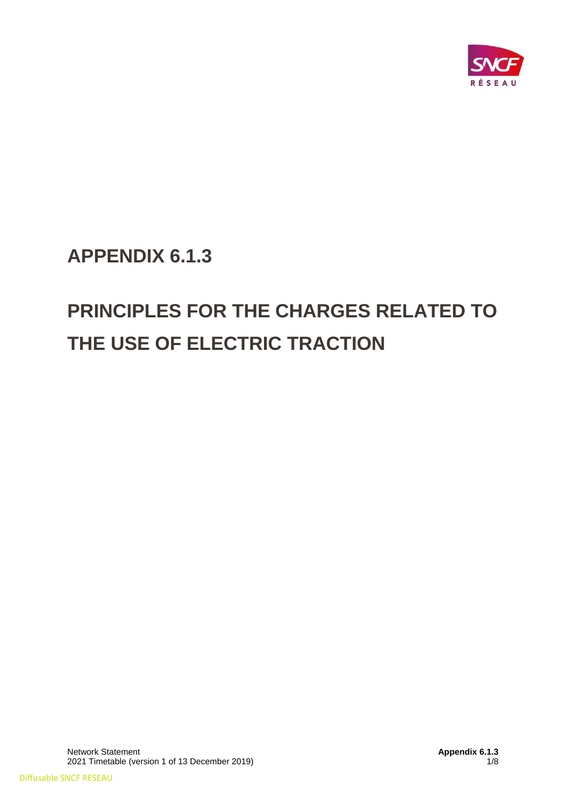

**APPENDIX 6.1.3**

# **PRINCIPLES FOR THE CHARGES RELATED TO THE USE OF ELECTRIC TRACTION**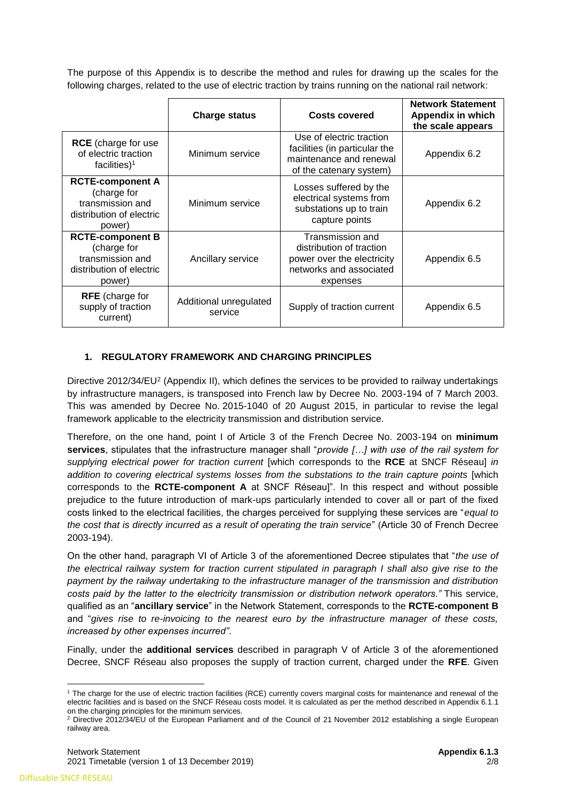The purpose of this Appendix is to describe the method and rules for drawing up the scales for the following charges, related to the use of electric traction by trains running on the national rail network:

|                                                                                                  | <b>Charge status</b>              | <b>Costs covered</b>                                                                                              | <b>Network Statement</b><br><b>Appendix in which</b><br>the scale appears |
|--------------------------------------------------------------------------------------------------|-----------------------------------|-------------------------------------------------------------------------------------------------------------------|---------------------------------------------------------------------------|
| <b>RCE</b> (charge for use<br>of electric traction<br>facilities) <sup>1</sup>                   | Minimum service                   | Use of electric traction<br>facilities (in particular the<br>maintenance and renewal<br>of the catenary system)   | Appendix 6.2                                                              |
| <b>RCTE-component A</b><br>(charge for<br>transmission and<br>distribution of electric<br>power) | Minimum service                   | Losses suffered by the<br>electrical systems from<br>substations up to train<br>capture points                    | Appendix 6.2                                                              |
| <b>RCTE-component B</b><br>(charge for<br>transmission and<br>distribution of electric<br>power) | Ancillary service                 | Transmission and<br>distribution of traction<br>power over the electricity<br>networks and associated<br>expenses | Appendix 6.5                                                              |
| <b>RFE</b> (charge for<br>supply of traction<br>current)                                         | Additional unregulated<br>service | Supply of traction current                                                                                        | Appendix 6.5                                                              |

## **1. REGULATORY FRAMEWORK AND CHARGING PRINCIPLES**

Directive 2012/34/EU<sup>2</sup> (Appendix II), which defines the services to be provided to railway undertakings by infrastructure managers, is transposed into French law by Decree No. 2003-194 of 7 March 2003. This was amended by Decree No. 2015-1040 of 20 August 2015, in particular to revise the legal framework applicable to the electricity transmission and distribution service.

Therefore, on the one hand, point I of Article 3 of the French Decree No. 2003-194 on **minimum services**, stipulates that the infrastructure manager shall "*provide […] with use of the rail system for supplying electrical power for traction current* [which corresponds to the **RCE** at SNCF Réseau] *in*  addition to covering electrical systems losses from the substations to the train capture points [which corresponds to the **RCTE-component A** at SNCF Réseau]". In this respect and without possible prejudice to the future introduction of mark-ups particularly intended to cover all or part of the fixed costs linked to the electrical facilities, the charges perceived for supplying these services are "*equal to the cost that is directly incurred as a result of operating the train service*" (Article 30 of French Decree 2003-194).

On the other hand, paragraph VI of Article 3 of the aforementioned Decree stipulates that "*the use of the electrical railway system for traction current stipulated in paragraph I shall also give rise to the payment by the railway undertaking to the infrastructure manager of the transmission and distribution costs paid by the latter to the electricity transmission or distribution network operators."* This service, qualified as an "**ancillary service**" in the Network Statement, corresponds to the **RCTE-component B** and "*gives rise to re-invoicing to the nearest euro by the infrastructure manager of these costs, increased by other expenses incurred"*.

Finally, under the **additional services** described in paragraph V of Article 3 of the aforementioned Decree, SNCF Réseau also proposes the supply of traction current, charged under the **RFE**. Given

**<sup>.</sup>** <sup>1</sup> The charge for the use of electric traction facilities (RCE) currently covers marginal costs for maintenance and renewal of the electric facilities and is based on the SNCF Réseau costs model. It is calculated as per the method described in Appendix 6.1.1 on the charging principles for the minimum services.

<sup>&</sup>lt;sup>2</sup> Directive 2012/34/EU of the European Parliament and of the Council of 21 November 2012 establishing a single European railway area.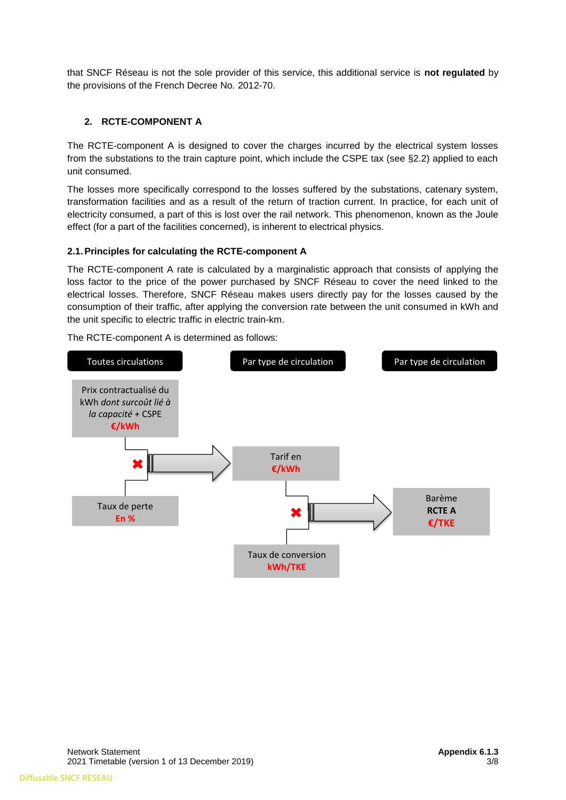that SNCF Réseau is not the sole provider of this service, this additional service is **not regulated** by the provisions of the French Decree No. 2012-70.

# **2. RCTE-COMPONENT A**

The RCTE-component A is designed to cover the charges incurred by the electrical system losses from the substations to the train capture point, which include the CSPE tax (see §2.2) applied to each unit consumed.

The losses more specifically correspond to the losses suffered by the substations, catenary system, transformation facilities and as a result of the return of traction current. In practice, for each unit of electricity consumed, a part of this is lost over the rail network. This phenomenon, known as the Joule effect (for a part of the facilities concerned), is inherent to electrical physics.

## **2.1.Principles for calculating the RCTE-component A**

The RCTE-component A rate is calculated by a marginalistic approach that consists of applying the loss factor to the price of the power purchased by SNCF Réseau to cover the need linked to the electrical losses. Therefore, SNCF Réseau makes users directly pay for the losses caused by the consumption of their traffic, after applying the conversion rate between the unit consumed in kWh and the unit specific to electric traffic in electric train-km.

The RCTE-component A is determined as follows:

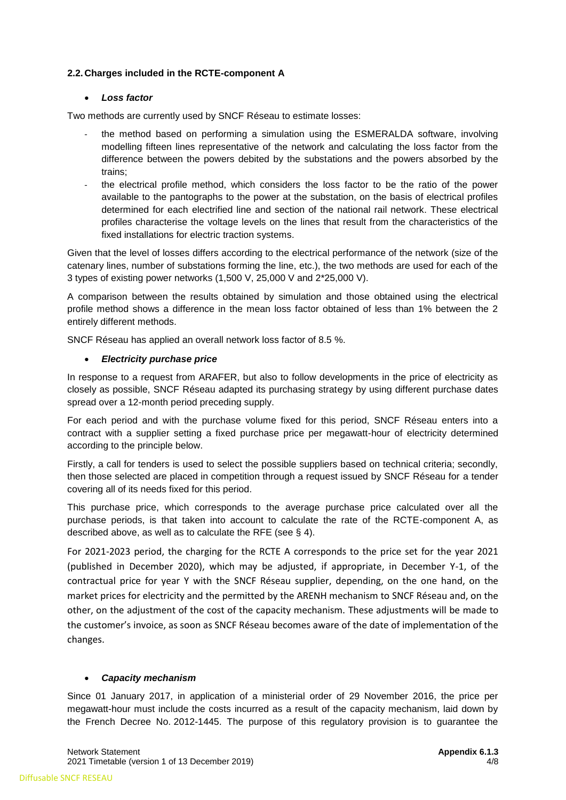#### **2.2.Charges included in the RCTE-component A**

#### • *Loss factor*

Two methods are currently used by SNCF Réseau to estimate losses:

- the method based on performing a simulation using the ESMERALDA software, involving modelling fifteen lines representative of the network and calculating the loss factor from the difference between the powers debited by the substations and the powers absorbed by the trains;
- the electrical profile method, which considers the loss factor to be the ratio of the power available to the pantographs to the power at the substation, on the basis of electrical profiles determined for each electrified line and section of the national rail network. These electrical profiles characterise the voltage levels on the lines that result from the characteristics of the fixed installations for electric traction systems.

Given that the level of losses differs according to the electrical performance of the network (size of the catenary lines, number of substations forming the line, etc.), the two methods are used for each of the 3 types of existing power networks (1,500 V, 25,000 V and 2\*25,000 V).

A comparison between the results obtained by simulation and those obtained using the electrical profile method shows a difference in the mean loss factor obtained of less than 1% between the 2 entirely different methods.

SNCF Réseau has applied an overall network loss factor of 8.5 %.

#### • *Electricity purchase price*

In response to a request from ARAFER, but also to follow developments in the price of electricity as closely as possible, SNCF Réseau adapted its purchasing strategy by using different purchase dates spread over a 12-month period preceding supply.

For each period and with the purchase volume fixed for this period, SNCF Réseau enters into a contract with a supplier setting a fixed purchase price per megawatt-hour of electricity determined according to the principle below.

Firstly, a call for tenders is used to select the possible suppliers based on technical criteria; secondly, then those selected are placed in competition through a request issued by SNCF Réseau for a tender covering all of its needs fixed for this period.

This purchase price, which corresponds to the average purchase price calculated over all the purchase periods, is that taken into account to calculate the rate of the RCTE-component A, as described above, as well as to calculate the RFE (see § 4).

For 2021-2023 period, the charging for the RCTE A corresponds to the price set for the year 2021 (published in December 2020), which may be adjusted, if appropriate, in December Y-1, of the contractual price for year Y with the SNCF Réseau supplier, depending, on the one hand, on the market prices for electricity and the permitted by the ARENH mechanism to SNCF Réseau and, on the other, on the adjustment of the cost of the capacity mechanism. These adjustments will be made to the customer's invoice, as soon as SNCF Réseau becomes aware of the date of implementation of the changes.

#### • *Capacity mechanism*

Since 01 January 2017, in application of a ministerial order of 29 November 2016, the price per megawatt-hour must include the costs incurred as a result of the capacity mechanism, laid down by the French Decree No. 2012-1445. The purpose of this regulatory provision is to guarantee the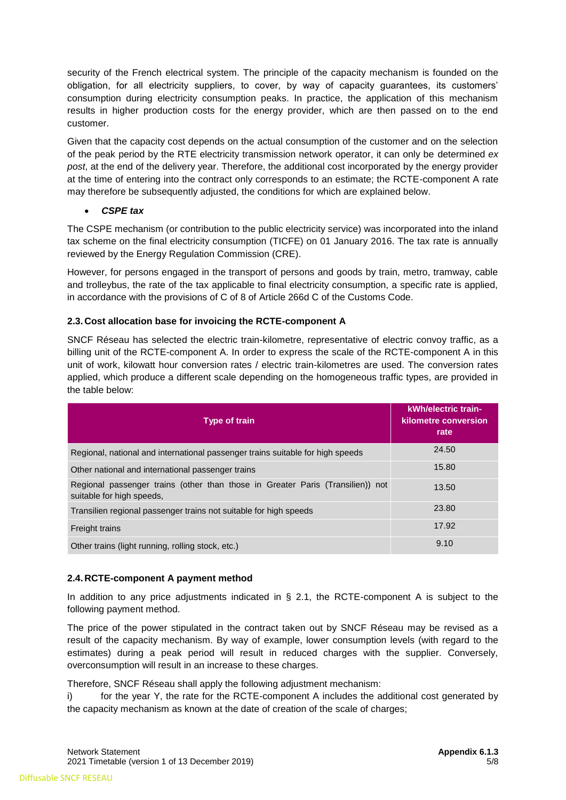security of the French electrical system. The principle of the capacity mechanism is founded on the obligation, for all electricity suppliers, to cover, by way of capacity guarantees, its customers' consumption during electricity consumption peaks. In practice, the application of this mechanism results in higher production costs for the energy provider, which are then passed on to the end customer.

Given that the capacity cost depends on the actual consumption of the customer and on the selection of the peak period by the RTE electricity transmission network operator, it can only be determined *ex post*, at the end of the delivery year. Therefore, the additional cost incorporated by the energy provider at the time of entering into the contract only corresponds to an estimate; the RCTE-component A rate may therefore be subsequently adjusted, the conditions for which are explained below.

• *CSPE tax*

The CSPE mechanism (or contribution to the public electricity service) was incorporated into the inland tax scheme on the final electricity consumption (TICFE) on 01 January 2016. The tax rate is annually reviewed by the Energy Regulation Commission (CRE).

However, for persons engaged in the transport of persons and goods by train, metro, tramway, cable and trolleybus, the rate of the tax applicable to final electricity consumption, a specific rate is applied, in accordance with the provisions of C of 8 of Article 266d C of the Customs Code.

## **2.3. Cost allocation base for invoicing the RCTE-component A**

SNCF Réseau has selected the electric train-kilometre, representative of electric convoy traffic, as a billing unit of the RCTE-component A. In order to express the scale of the RCTE-component A in this unit of work, kilowatt hour conversion rates / electric train-kilometres are used. The conversion rates applied, which produce a different scale depending on the homogeneous traffic types, are provided in the table below:

| Type of train                                                                                               | kWh/electric train-<br>kilometre conversion<br>rate |
|-------------------------------------------------------------------------------------------------------------|-----------------------------------------------------|
| Regional, national and international passenger trains suitable for high speeds                              | 24.50                                               |
| Other national and international passenger trains                                                           | 15.80                                               |
| Regional passenger trains (other than those in Greater Paris (Transilien)) not<br>suitable for high speeds, | 13.50                                               |
| Transilien regional passenger trains not suitable for high speeds                                           | 23.80                                               |
| <b>Freight trains</b>                                                                                       | 17.92                                               |
| Other trains (light running, rolling stock, etc.)                                                           | 9.10                                                |

## **2.4. RCTE-component A payment method**

In addition to any price adjustments indicated in  $\S$  2.1, the RCTE-component A is subject to the following payment method.

The price of the power stipulated in the contract taken out by SNCF Réseau may be revised as a result of the capacity mechanism. By way of example, lower consumption levels (with regard to the estimates) during a peak period will result in reduced charges with the supplier. Conversely, overconsumption will result in an increase to these charges.

Therefore, SNCF Réseau shall apply the following adjustment mechanism:

i) for the year Y, the rate for the RCTE-component A includes the additional cost generated by the capacity mechanism as known at the date of creation of the scale of charges;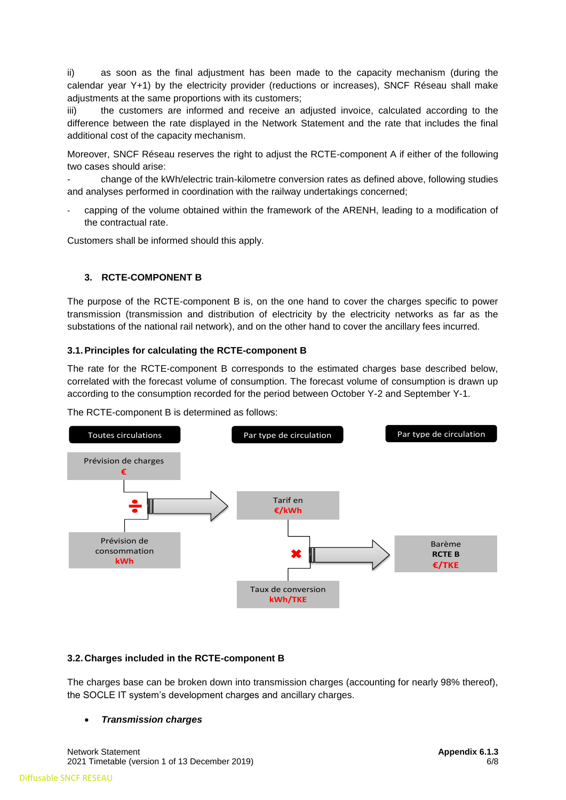ii) as soon as the final adjustment has been made to the capacity mechanism (during the calendar year Y+1) by the electricity provider (reductions or increases), SNCF Réseau shall make adjustments at the same proportions with its customers;

iii) the customers are informed and receive an adjusted invoice, calculated according to the difference between the rate displayed in the Network Statement and the rate that includes the final additional cost of the capacity mechanism.

Moreover, SNCF Réseau reserves the right to adjust the RCTE-component A if either of the following two cases should arise:

- change of the kWh/electric train-kilometre conversion rates as defined above, following studies and analyses performed in coordination with the railway undertakings concerned;

- capping of the volume obtained within the framework of the ARENH, leading to a modification of the contractual rate.

Customers shall be informed should this apply.

## **3. RCTE-COMPONENT B**

The purpose of the RCTE-component B is, on the one hand to cover the charges specific to power transmission (transmission and distribution of electricity by the electricity networks as far as the substations of the national rail network), and on the other hand to cover the ancillary fees incurred.

#### **3.1.Principles for calculating the RCTE-component B**

The rate for the RCTE-component B corresponds to the estimated charges base described below, correlated with the forecast volume of consumption. The forecast volume of consumption is drawn up according to the consumption recorded for the period between October Y-2 and September Y-1.

The RCTE-component B is determined as follows:



#### **3.2. Charges included in the RCTE-component B**

The charges base can be broken down into transmission charges (accounting for nearly 98% thereof), the SOCLE IT system's development charges and ancillary charges.

#### • *Transmission charges*

Network Statement **Appendix 6.1.3 Appendix 6.1.3 Appendix 6.1.3 Appendix 6.1.3 Appendix 6.1.3** 2021 Timetable (version 1 of 13 December 2019) 6/8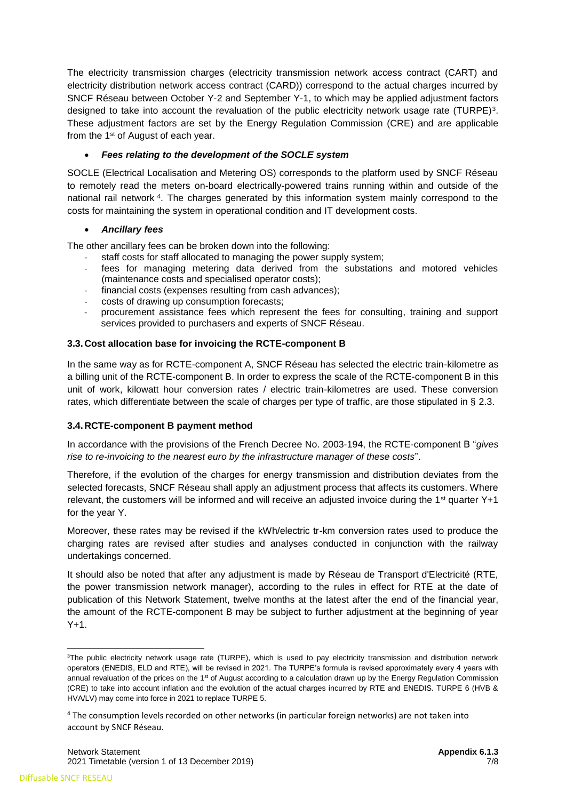The electricity transmission charges (electricity transmission network access contract (CART) and electricity distribution network access contract (CARD)) correspond to the actual charges incurred by SNCF Réseau between October Y-2 and September Y-1, to which may be applied adjustment factors designed to take into account the revaluation of the public electricity network usage rate (TURPE)<sup>3</sup>. These adjustment factors are set by the Energy Regulation Commission (CRE) and are applicable from the 1<sup>st</sup> of August of each year.

## • *Fees relating to the development of the SOCLE system*

SOCLE (Electrical Localisation and Metering OS) corresponds to the platform used by SNCF Réseau to remotely read the meters on-board electrically-powered trains running within and outside of the national rail network <sup>4</sup> . The charges generated by this information system mainly correspond to the costs for maintaining the system in operational condition and IT development costs.

## • *Ancillary fees*

The other ancillary fees can be broken down into the following:

- staff costs for staff allocated to managing the power supply system;
- fees for managing metering data derived from the substations and motored vehicles (maintenance costs and specialised operator costs);
- financial costs (expenses resulting from cash advances);
- costs of drawing up consumption forecasts;
- procurement assistance fees which represent the fees for consulting, training and support services provided to purchasers and experts of SNCF Réseau.

## **3.3. Cost allocation base for invoicing the RCTE-component B**

In the same way as for RCTE-component A, SNCF Réseau has selected the electric train-kilometre as a billing unit of the RCTE-component B. In order to express the scale of the RCTE-component B in this unit of work, kilowatt hour conversion rates / electric train-kilometres are used. These conversion rates, which differentiate between the scale of charges per type of traffic, are those stipulated in § 2.3.

## **3.4. RCTE-component B payment method**

In accordance with the provisions of the French Decree No. 2003-194, the RCTE-component B "*gives rise to re-invoicing to the nearest euro by the infrastructure manager of these costs*".

Therefore, if the evolution of the charges for energy transmission and distribution deviates from the selected forecasts, SNCF Réseau shall apply an adjustment process that affects its customers. Where relevant, the customers will be informed and will receive an adjusted invoice during the  $1<sup>st</sup>$  quarter Y+1 for the year Y.

Moreover, these rates may be revised if the kWh/electric tr-km conversion rates used to produce the charging rates are revised after studies and analyses conducted in conjunction with the railway undertakings concerned.

It should also be noted that after any adjustment is made by Réseau de Transport d'Electricité (RTE, the power transmission network manager), according to the rules in effect for RTE at the date of publication of this Network Statement, twelve months at the latest after the end of the financial year, the amount of the RCTE-component B may be subject to further adjustment at the beginning of year  $Y+1$ .

<sup>1</sup> <sup>3</sup>The public electricity network usage rate (TURPE), which is used to pay electricity transmission and distribution network operators (ENEDIS, ELD and RTE), will be revised in 2021. The TURPE's formula is revised approximately every 4 years with annual revaluation of the prices on the 1<sup>st</sup> of August according to a calculation drawn up by the Energy Regulation Commission (CRE) to take into account inflation and the evolution of the actual charges incurred by RTE and ENEDIS. TURPE 6 (HVB & HVA/LV) may come into force in 2021 to replace TURPE 5.

<sup>4</sup> The consumption levels recorded on other networks (in particular foreign networks) are not taken into account by SNCF Réseau.